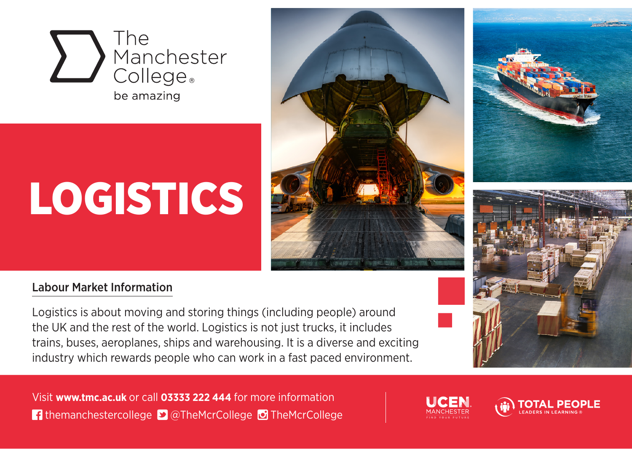

# **LOGISTICS**







#### Labour Market Information

Logistics is about moving and storing things (including people) around the UK and the rest of the world. Logistics is not just trucks, it includes trains, buses, aeroplanes, ships and warehousing. It is a diverse and exciting industry which rewards people who can work in a fast paced environment.

Visit **www.tmc.ac.uk** or call **03333 222 444** for more information **f** themanchestercollege **D** @TheMcrCollege **O** TheMcrCollege